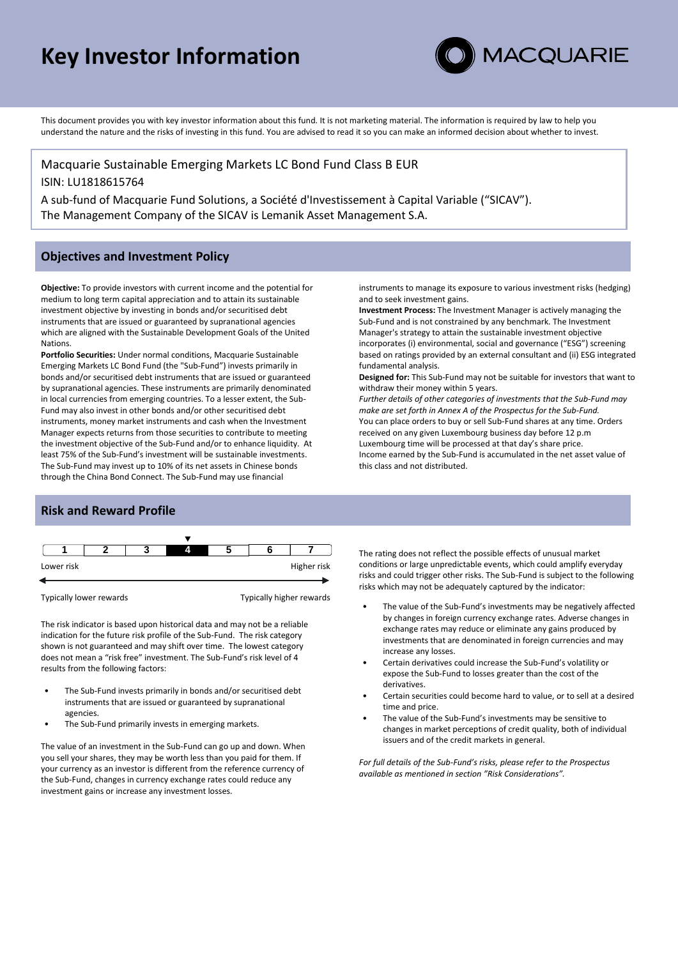# **Key Investor Information**



This document provides you with key investor information about this fund. It is not marketing material. The information is required by law to help you understand the nature and the risks of investing in this fund. You are advised to read it so you can make an informed decision about whether to invest.

Macquarie Sustainable Emerging Markets LC Bond Fund Class B EUR ISIN: LU1818615764 A sub-fund of Macquarie Fund Solutions, a Société d'Investissement à Capital Variable ("SICAV").

The Management Company of the SICAV is Lemanik Asset Management S.A.

# **Objectives and Investment Policy**

**Objective:** To provide investors with current income and the potential for medium to long term capital appreciation and to attain its sustainable investment objective by investing in bonds and/or securitised debt instruments that are issued or guaranteed by supranational agencies which are aligned with the Sustainable Development Goals of the United Nations.

**Portfolio Securities:** Under normal conditions, Macquarie Sustainable Emerging Markets LC Bond Fund (the "Sub-Fund") invests primarily in bonds and/or securitised debt instruments that are issued or guaranteed by supranational agencies. These instruments are primarily denominated in local currencies from emerging countries. To a lesser extent, the Sub-Fund may also invest in other bonds and/or other securitised debt instruments, money market instruments and cash when the Investment Manager expects returns from those securities to contribute to meeting the investment objective of the Sub-Fund and/or to enhance liquidity. At least 75% of the Sub-Fund's investment will be sustainable investments. The Sub-Fund may invest up to 10% of its net assets in Chinese bonds through the China Bond Connect. The Sub-Fund may use financial

instruments to manage its exposure to various investment risks (hedging) and to seek investment gains.

**Investment Process:** The Investment Manager is actively managing the Sub-Fund and is not constrained by any benchmark. The Investment Manager's strategy to attain the sustainable investment objective incorporates (i) environmental, social and governance ("ESG") screening based on ratings provided by an external consultant and (ii) ESG integrated fundamental analysis.

**Designed for:** This Sub-Fund may not be suitable for investors that want to withdraw their money within 5 years.

*Further details of other categories of investments that the Sub-Fund may make are set forth in Annex A of the Prospectus for the Sub-Fund.* You can place orders to buy or sell Sub-Fund shares at any time. Orders received on any given Luxembourg business day before 12 p.m Luxembourg time will be processed at that day's share price. Income earned by the Sub-Fund is accumulated in the net asset value of this class and not distributed.

# **Risk and Reward Profile**



Typically lower rewards Typically higher rewards

The risk indicator is based upon historical data and may not be a reliable indication for the future risk profile of the Sub-Fund. The risk category shown is not guaranteed and may shift over time. The lowest category does not mean a "risk free" investment. The Sub-Fund's risk level of 4 results from the following factors:

- The Sub-Fund invests primarily in bonds and/or securitised debt instruments that are issued or guaranteed by supranational agencies.
- The Sub-Fund primarily invests in emerging markets.

The value of an investment in the Sub-Fund can go up and down. When you sell your shares, they may be worth less than you paid for them. If your currency as an investor is different from the reference currency of the Sub-Fund, changes in currency exchange rates could reduce any investment gains or increase any investment losses.

The rating does not reflect the possible effects of unusual market conditions or large unpredictable events, which could amplify everyday risks and could trigger other risks. The Sub-Fund is subject to the following risks which may not be adequately captured by the indicator:

- The value of the Sub-Fund's investments may be negatively affected by changes in foreign currency exchange rates. Adverse changes in exchange rates may reduce or eliminate any gains produced by investments that are denominated in foreign currencies and may increase any losses.
- Certain derivatives could increase the Sub-Fund's volatility or expose the Sub-Fund to losses greater than the cost of the derivatives.
- Certain securities could become hard to value, or to sell at a desired time and price.
- The value of the Sub-Fund's investments may be sensitive to changes in market perceptions of credit quality, both of individual issuers and of the credit markets in general.

*For full details of the Sub-Fund's risks, please refer to the Prospectus available as mentioned in section "Risk Considerations".*